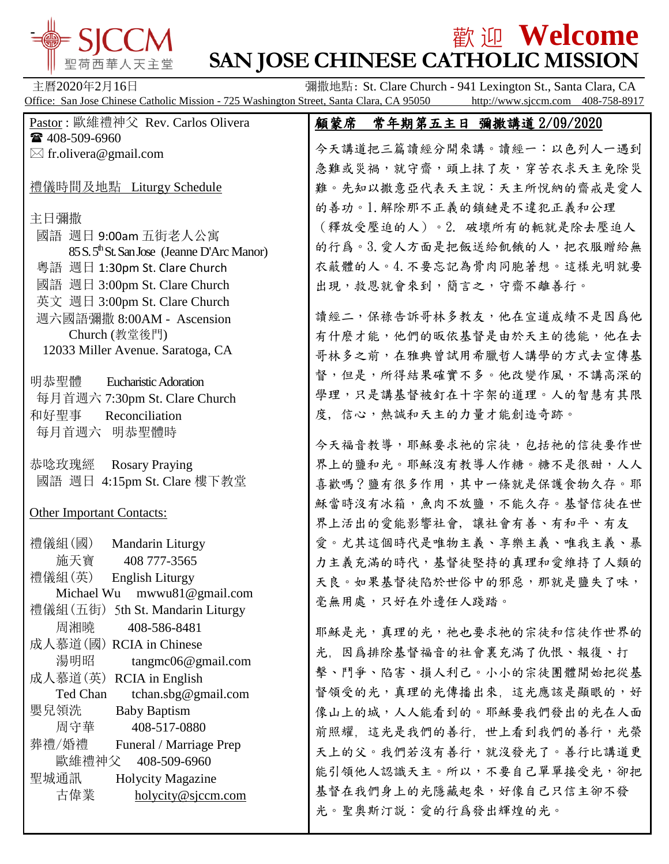

# $\frac{1}{2}$   $\frac{1}{2}$   $\frac{1}{2}$   $\frac{1}{2}$   $\frac{1}{2}$   $\frac{1}{2}$   $\frac{1}{2}$   $\frac{1}{2}$   $\frac{1}{2}$   $\frac{1}{2}$   $\frac{1}{2}$   $\frac{1}{2}$   $\frac{1}{2}$   $\frac{1}{2}$   $\frac{1}{2}$   $\frac{1}{2}$   $\frac{1}{2}$   $\frac{1}{2}$   $\frac{1}{2}$   $\frac{1}{2}$   $\frac{1}{2}$   $\frac{1}{2}$ **SAN JOSE CHINESE CATHOLIC MISSION**

主曆2020年2月16日 **调散地點: St. Clare Church - 941 Lexington St., Santa Clara, CA** Office: San Jose Chinese Catholic Mission - 725 Washington Street, Santa Clara, CA 95050 http://www.sjccm.com 408-758-8917

| Pastor: 歐維禮神父 Rev. Carlos Olivera                       | 顧蒙席 |                 | <u>常年期第五主日 彌撒講道 2/09/2020</u> |  |
|---------------------------------------------------------|-----|-----------------|-------------------------------|--|
| ☎ 408-509-6960                                          |     |                 | 今天講道把三篇讀經分開來講。讀經一:以色列人一遇到     |  |
| $\boxtimes$ fr.olivera@gmail.com                        |     |                 | 急難或災禍,就守齋,頭上抹了灰,穿苦衣求天主免除災     |  |
| 禮儀時間及地點 Liturgy Schedule                                |     |                 |                               |  |
|                                                         |     |                 | 難。先知以撒意亞代表天主說︰天主所悅納的齋戒是愛人     |  |
| 主日彌撒                                                    |     |                 | 的善功。1. 解除那不正義的鎖鏈是不違犯正義和公理     |  |
| 國語 週日 9:00am 五街老人公寓                                     |     |                 | (釋放受壓迫的人)。2. 破壞所有的軛就是除去壓迫人    |  |
| 85 S. 5 <sup>th</sup> St. San Jose (Jeanne D'Arc Manor) |     |                 | 的行為。3. 愛人方面是把飯送給飢餓的人, 把衣服贈給無  |  |
| 粵語 週日 1:30pm St. Clare Church                           |     |                 | 衣蔽體的人。4. 不要忘記為骨肉同胞著想。這樣光明就要   |  |
| 國語 週日 3:00pm St. Clare Church                           |     |                 | 出現,救恩就會來到,簡言之,守齋不離善行。         |  |
| 英文 週日 3:00pm St. Clare Church                           |     |                 |                               |  |
| 週六國語彌撒 8:00AM - Ascension                               |     |                 | 讀經二,保祿告訴哥林多教友,他在宣道成績不是因爲他     |  |
| Church (教堂後門)                                           |     |                 | 有什麼才能,他們的昄依基督是由於天主的德能,他在去     |  |
| 12033 Miller Avenue. Saratoga, CA                       |     |                 | 哥林多之前,在雅典曾試用希臘哲人講學的方式去宣傳基     |  |
| 明恭聖體<br><b>Eucharistic Adoration</b>                    |     |                 | 督,但是,所得結果確實不多。他改變作風,不講高深的     |  |
| 每月首週六 7:30pm St. Clare Church                           |     |                 | 學理,只是講基督被釘在十字架的道理。人的智慧有其限     |  |
| 和好聖事<br>Reconciliation                                  |     |                 | 度,信心,熱誠和天主的力量才能創造奇跡。          |  |
| 每月首週六 明恭聖體時                                             |     |                 |                               |  |
|                                                         |     |                 | 今天福音教導,耶穌要求祂的宗徒,包括祂的信徒要作世     |  |
| 恭唸玫瑰經<br><b>Rosary Praying</b>                          |     |                 | 界上的鹽和光。耶穌沒有教導人作糖。糖不是很甜,人人     |  |
| 國語 週日 4:15pm St. Clare 樓下教堂                             |     |                 | 喜歡嗎?鹽有很多作用,其中一條就是保護食物久存。耶     |  |
|                                                         |     |                 | 穌當時沒有冰箱,魚肉不放鹽,不能久存。基督信徒在世     |  |
| <b>Other Important Contacts:</b>                        |     |                 | 界上活出的愛能影響社會,讓社會有善、有和平、有友      |  |
| 禮儀組(國)<br>Mandarin Liturgy                              |     |                 | 愛。尤其這個時代是唯物主義、享樂主義、唯我主義、暴     |  |
| 408 777-3565<br>施天寶                                     |     |                 | 力主義充滿的時代,基督徒堅持的真理和愛維持了人類的     |  |
| 禮儀組(英)<br><b>English Liturgy</b>                        |     |                 | 天良。如果基督徒陷於世俗中的邪惡,那就是鹽失了味,     |  |
| Michael Wu mwwu81@gmail.com                             |     |                 |                               |  |
| 禮儀組 (五街) 5th St. Mandarin Liturgy                       |     | 毫無用處,只好在外邊任人踐踏。 |                               |  |
| 周湘曉<br>408-586-8481                                     |     |                 | 耶穌是光,真理的光,祂也要求祂的宗徒和信徒作世界的     |  |
| 成人慕道(國) RCIA in Chinese                                 |     |                 | 光、因爲排除基督福音的社會裏充滿了仇恨、報復、打      |  |
| 湯明昭<br>tangmc06@gmail.com                               |     |                 | 擊、鬥爭、陷害、損人利己。小小的宗徒團體開始把從基     |  |
| 成人慕道(英) RCIA in English                                 |     |                 |                               |  |
| Ted Chan<br>tchan.sbg@gmail.com                         |     |                 | 督領受的光,真理的光傳播出來,這光應該是顯眼的,好     |  |
| 嬰兒領洗<br><b>Baby Baptism</b><br>周守華<br>408-517-0880      |     |                 | 像山上的城,人人能看到的。耶穌要我們發出的光在人面     |  |
| 葬禮/婚禮<br>Funeral / Marriage Prep                        |     |                 | 前照耀, 這光是我們的善行, 世上看到我們的善行, 光榮  |  |
| 歐維禮神父<br>408-509-6960                                   |     |                 | 天上的父。我們若沒有善行,就沒發光了。善行比講道更     |  |
| 聖城通訊<br><b>Holycity Magazine</b>                        |     |                 | 能引領他人認識天主。所以,不要自己單單接受光,卻把     |  |
| 古偉業<br>holycity@sjccm.com                               |     |                 | 基督在我們身上的光隱藏起來,好像自己只信主卻不發      |  |
|                                                         |     |                 | 光。聖奧斯汀説:愛的行爲發出輝煌的光。           |  |
|                                                         |     |                 |                               |  |